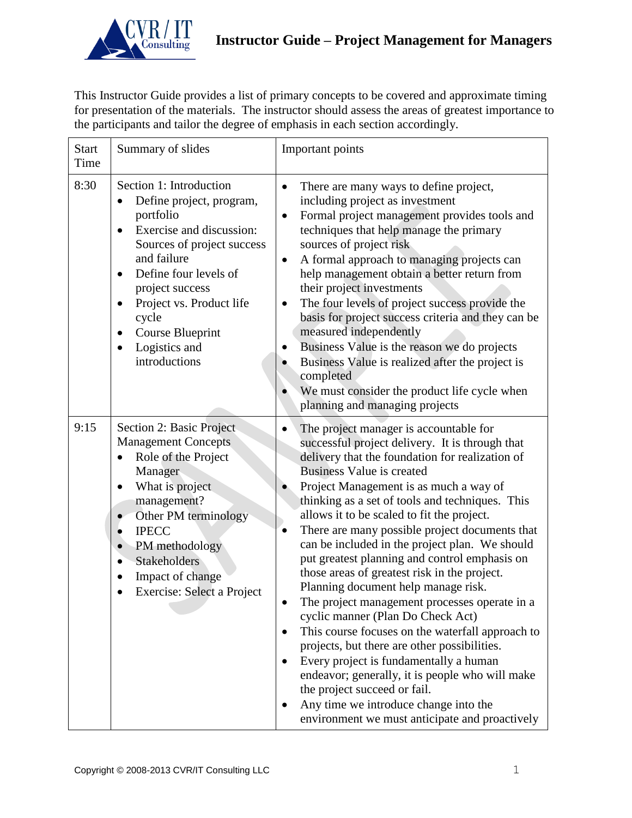

This Instructor Guide provides a list of primary concepts to be covered and approximate timing for presentation of the materials. The instructor should assess the areas of greatest importance to the participants and tailor the degree of emphasis in each section accordingly.

| <b>Start</b><br>Time | Summary of slides                                                                                                                                                                                                                                                                                                                                        | Important points                                                                                                                                                                                                                                                                                                                                                                                                                                                                                                                                                                                                                                                                                                                                                                                                                                                                                                                                                                   |
|----------------------|----------------------------------------------------------------------------------------------------------------------------------------------------------------------------------------------------------------------------------------------------------------------------------------------------------------------------------------------------------|------------------------------------------------------------------------------------------------------------------------------------------------------------------------------------------------------------------------------------------------------------------------------------------------------------------------------------------------------------------------------------------------------------------------------------------------------------------------------------------------------------------------------------------------------------------------------------------------------------------------------------------------------------------------------------------------------------------------------------------------------------------------------------------------------------------------------------------------------------------------------------------------------------------------------------------------------------------------------------|
| 8:30                 | Section 1: Introduction<br>Define project, program,<br>portfolio<br>Exercise and discussion:<br>$\bullet$<br>Sources of project success<br>and failure<br>Define four levels of<br>$\bullet$<br>project success<br>Project vs. Product life<br>$\bullet$<br>cycle<br><b>Course Blueprint</b><br>$\bullet$<br>Logistics and<br>$\bullet$<br>introductions | There are many ways to define project,<br>$\bullet$<br>including project as investment<br>Formal project management provides tools and<br>$\bullet$<br>techniques that help manage the primary<br>sources of project risk<br>A formal approach to managing projects can<br>$\bullet$<br>help management obtain a better return from<br>their project investments<br>The four levels of project success provide the<br>$\bullet$<br>basis for project success criteria and they can be<br>measured independently<br>Business Value is the reason we do projects<br>Business Value is realized after the project is<br>completed<br>We must consider the product life cycle when<br>planning and managing projects                                                                                                                                                                                                                                                                   |
| 9:15                 | Section 2: Basic Project<br><b>Management Concepts</b><br>Role of the Project<br>$\bullet$<br>Manager<br>What is project<br>$\bullet$<br>management?<br>Other PM terminology<br><b>IPECC</b><br>$\bullet$<br>PM methodology<br>$\bullet$<br><b>Stakeholders</b><br>$\bullet$<br>Impact of change<br>$\bullet$<br>Exercise: Select a Project              | The project manager is accountable for<br>successful project delivery. It is through that<br>delivery that the foundation for realization of<br>Business Value is created<br>Project Management is as much a way of<br>thinking as a set of tools and techniques. This<br>allows it to be scaled to fit the project.<br>There are many possible project documents that<br>can be included in the project plan. We should<br>put greatest planning and control emphasis on<br>those areas of greatest risk in the project.<br>Planning document help manage risk.<br>The project management processes operate in a<br>cyclic manner (Plan Do Check Act)<br>This course focuses on the waterfall approach to<br>projects, but there are other possibilities.<br>Every project is fundamentally a human<br>endeavor; generally, it is people who will make<br>the project succeed or fail.<br>Any time we introduce change into the<br>environment we must anticipate and proactively |